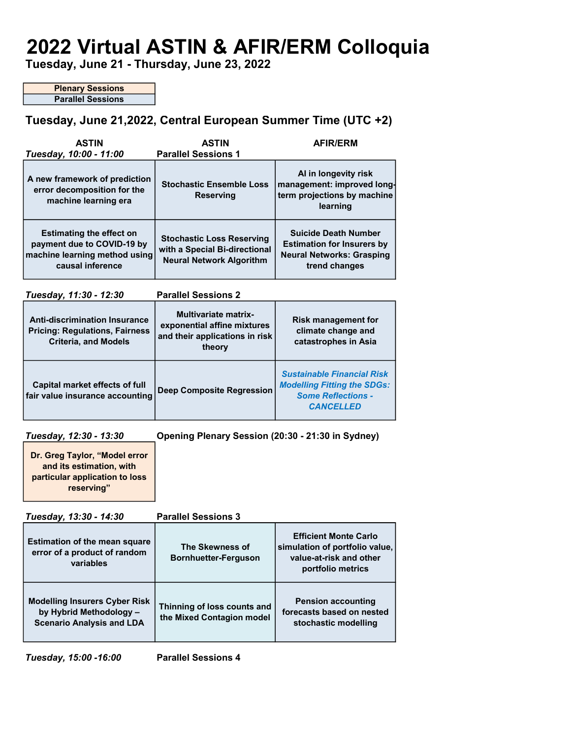# 2022 Virtual ASTIN & AFIR/ERM Colloquia

Tuesday, June 21 - Thursday, June 23, 2022

Plenary Sessions Parallel Sessions

## Tuesday, June 21,2022, Central European Summer Time (UTC +2)

| <b>ASTIN</b><br>Tuesday, 10:00 - 11:00                                                                             | <b>ASTIN</b><br><b>Parallel Sessions 1</b>                                                             | <b>AFIR/ERM</b>                                                                                                          |
|--------------------------------------------------------------------------------------------------------------------|--------------------------------------------------------------------------------------------------------|--------------------------------------------------------------------------------------------------------------------------|
| A new framework of prediction<br>error decomposition for the<br>machine learning era                               | <b>Stochastic Ensemble Loss</b><br><b>Reserving</b>                                                    | Al in longevity risk<br>management: improved long-<br>term projections by machine<br>learning                            |
| <b>Estimating the effect on</b><br>payment due to COVID-19 by<br>machine learning method using<br>causal inference | <b>Stochastic Loss Reserving</b><br>with a Special Bi-directional<br><b>Neural Network Algorithm</b>   | <b>Suicide Death Number</b><br><b>Estimation for Insurers by</b><br><b>Neural Networks: Grasping</b><br>trend changes    |
| Tuesday, 11:30 - 12:30<br><b>Parallel Sessions 2</b>                                                               |                                                                                                        |                                                                                                                          |
| <b>Anti-discrimination Insurance</b><br><b>Pricing: Regulations, Fairness</b><br><b>Criteria, and Models</b>       | <b>Multivariate matrix-</b><br>exponential affine mixtures<br>and their applications in risk<br>theory | <b>Risk management for</b><br>climate change and<br>catastrophes in Asia                                                 |
| <b>Capital market effects of full</b><br>fair value insurance accounting                                           | <b>Deep Composite Regression</b>                                                                       | <b>Sustainable Financial Risk</b><br><b>Modelling Fitting the SDGs:</b><br><b>Some Reflections -</b><br><b>CANCELLED</b> |
| Tuesday, 12:30 - 13:30                                                                                             | Opening Plenary Session (20:30 - 21:30 in Sydney)                                                      |                                                                                                                          |
| Dr. Greg Taylor, "Model error<br>and its estimation, with<br>particular application to loss<br>reserving"          |                                                                                                        |                                                                                                                          |
| Tuneday 12:20 - 11:20                                                                                              | Darallol Soccione ?                                                                                    |                                                                                                                          |

| $105000, 10.00 - 14.00$                                                                             | L GI GIIGI OGSSINIIS A                                   |                                                                                                                |
|-----------------------------------------------------------------------------------------------------|----------------------------------------------------------|----------------------------------------------------------------------------------------------------------------|
| <b>Estimation of the mean square</b><br>error of a product of random<br>variables                   | The Skewness of<br><b>Bornhuetter-Ferguson</b>           | <b>Efficient Monte Carlo</b><br>simulation of portfolio value,<br>value-at-risk and other<br>portfolio metrics |
| <b>Modelling Insurers Cyber Risk</b><br>by Hybrid Methodology -<br><b>Scenario Analysis and LDA</b> | Thinning of loss counts and<br>the Mixed Contagion model | <b>Pension accounting</b><br>forecasts based on nested<br>stochastic modelling                                 |

Tuesday, 15:00 -16:00 Parallel Sessions 4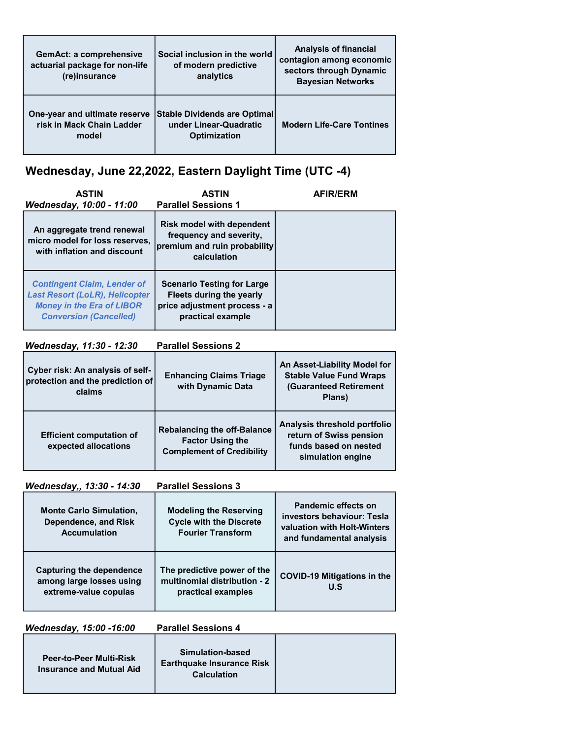| <b>GemAct: a comprehensive</b><br>actuarial package for non-life<br>(re)insurance | Social inclusion in the world<br>of modern predictive<br>analytics            | <b>Analysis of financial</b><br>contagion among economic<br>sectors through Dynamic<br><b>Bayesian Networks</b> |
|-----------------------------------------------------------------------------------|-------------------------------------------------------------------------------|-----------------------------------------------------------------------------------------------------------------|
| One-year and ultimate reserve<br>risk in Mack Chain Ladder<br>model               | Stable Dividends are Optimal<br>under Linear-Quadratic<br><b>Optimization</b> | <b>Modern Life-Care Tontines</b>                                                                                |

## Wednesday, June 22,2022, Eastern Daylight Time (UTC -4)

| <b>ASTIN</b>                                                                                                                                     | <b>ASTIN</b>                                                                                                                             | <b>AFIR/ERM</b> |
|--------------------------------------------------------------------------------------------------------------------------------------------------|------------------------------------------------------------------------------------------------------------------------------------------|-----------------|
| Wednesday, 10:00 - 11:00<br>An aggregate trend renewal<br>micro model for loss reserves,<br>with inflation and discount                          | <b>Parallel Sessions 1</b><br><b>Risk model with dependent</b><br>frequency and severity,<br>premium and ruin probability<br>calculation |                 |
| <b>Contingent Claim, Lender of</b><br><b>Last Resort (LoLR), Helicopter</b><br><b>Money in the Era of LIBOR</b><br><b>Conversion (Cancelled)</b> | <b>Scenario Testing for Large</b><br>Fleets during the yearly<br>price adjustment process - a<br>practical example                       |                 |

## Wednesday, 11:30 - 12:30 Parallel Sessions 2

| Cyber risk: An analysis of self-<br>protection and the prediction of<br>claims | <b>Enhancing Claims Triage</b><br>with Dynamic Data                                               | An Asset-Liability Model for<br><b>Stable Value Fund Wraps</b><br><b>(Guaranteed Retirement</b><br>Plans) |
|--------------------------------------------------------------------------------|---------------------------------------------------------------------------------------------------|-----------------------------------------------------------------------------------------------------------|
| <b>Efficient computation of</b><br>expected allocations                        | <b>Rebalancing the off-Balance</b><br><b>Factor Using the</b><br><b>Complement of Credibility</b> | Analysis threshold portfolio<br>return of Swiss pension<br>funds based on nested<br>simulation engine     |

Wednesday,, 13:30 - 14:30 Parallel Sessions 3

| <b>Monte Carlo Simulation,</b><br>Dependence, and Risk<br><b>Accumulation</b> | <b>Modeling the Reserving</b><br><b>Cycle with the Discrete</b><br><b>Fourier Transform</b> | Pandemic effects on<br>investors behaviour: Tesla<br>valuation with Holt-Winters<br>and fundamental analysis |
|-------------------------------------------------------------------------------|---------------------------------------------------------------------------------------------|--------------------------------------------------------------------------------------------------------------|
| Capturing the dependence<br>among large losses using<br>extreme-value copulas | The predictive power of the<br>multinomial distribution - 2<br>practical examples           | <b>COVID-19 Mitigations in the</b><br><b>U.S</b>                                                             |

Wednesday, 15:00 -16:00 Parallel Sessions 4 Peer-to-Peer Multi-Risk Insurance and Mutual Aid Simulation-based Earthquake Insurance Risk **Calculation**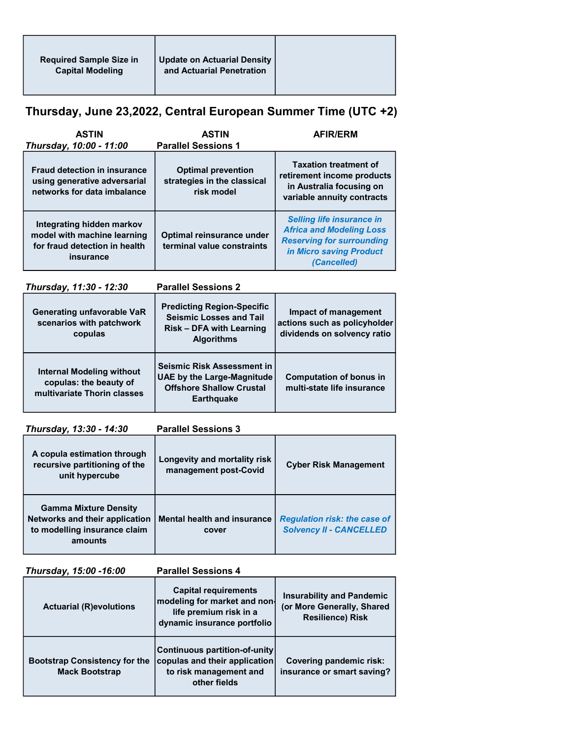## Thursday, June 23,2022, Central European Summer Time (UTC +2)

| <b>ASTIN</b>                                                                                           | <b>ASTIN</b>                                                           | <b>AFIR/ERM</b>                                                                                                                                   |
|--------------------------------------------------------------------------------------------------------|------------------------------------------------------------------------|---------------------------------------------------------------------------------------------------------------------------------------------------|
| Thursday, 10:00 - 11:00                                                                                | <b>Parallel Sessions 1</b>                                             |                                                                                                                                                   |
| <b>Fraud detection in insurance</b><br>using generative adversarial<br>networks for data imbalance     | <b>Optimal prevention</b><br>strategies in the classical<br>risk model | <b>Taxation treatment of</b><br>retirement income products<br>in Australia focusing on<br>variable annuity contracts                              |
| Integrating hidden markov<br>model with machine learning<br>for fraud detection in health<br>insurance | Optimal reinsurance under<br>terminal value constraints                | <b>Selling life insurance in</b><br><b>Africa and Modeling Loss</b><br><b>Reserving for surrounding</b><br>in Micro saving Product<br>(Cancelled) |

Thursday, 11:30 - 12:30 Parallel Sessions 2

| <b>Generating unfavorable VaR</b><br>scenarios with patchwork<br>copulas                  | <b>Predicting Region-Specific</b><br><b>Seismic Losses and Tail</b><br><b>Risk - DFA with Learning</b><br><b>Algorithms</b> | Impact of management<br>actions such as policyholder<br>dividends on solvency ratio |
|-------------------------------------------------------------------------------------------|-----------------------------------------------------------------------------------------------------------------------------|-------------------------------------------------------------------------------------|
| <b>Internal Modeling without</b><br>copulas: the beauty of<br>multivariate Thorin classes | Seismic Risk Assessment in<br><b>UAE by the Large-Magnitude</b><br><b>Offshore Shallow Crustal</b><br><b>Earthquake</b>     | <b>Computation of bonus in</b><br>multi-state life insurance                        |

Thursday, 13:30 - 14:30 Parallel Sessions 3

| . <b>.</b>                                                                                                |                                                       |                                                                       |
|-----------------------------------------------------------------------------------------------------------|-------------------------------------------------------|-----------------------------------------------------------------------|
| A copula estimation through<br>recursive partitioning of the<br>unit hypercube                            | Longevity and mortality risk<br>management post-Covid | <b>Cyber Risk Management</b>                                          |
| <b>Gamma Mixture Density</b><br>Networks and their application<br>to modelling insurance claim<br>amounts | <b>Mental health and insurance</b><br>cover           | <b>Regulation risk: the case of</b><br><b>Solvency II - CANCELLED</b> |

| Thursday, 15:00 -16:00                                        | <b>Parallel Sessions 4</b>                                                                                           |                                                                                           |
|---------------------------------------------------------------|----------------------------------------------------------------------------------------------------------------------|-------------------------------------------------------------------------------------------|
| <b>Actuarial (R)evolutions</b>                                | <b>Capital requirements</b><br>modeling for market and non-<br>life premium risk in a<br>dynamic insurance portfolio | <b>Insurability and Pandemic</b><br>(or More Generally, Shared<br><b>Resilience) Risk</b> |
| <b>Bootstrap Consistency for the</b><br><b>Mack Bootstrap</b> | <b>Continuous partition-of-unity</b><br>copulas and their application<br>to risk management and<br>other fields      | Covering pandemic risk:<br>insurance or smart saving?                                     |